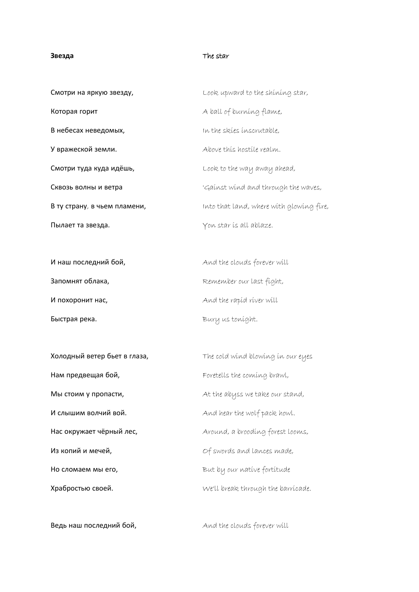## **Звезда** The star

| Смотри на яркую звезду,      | Look upward to the shining star,         |
|------------------------------|------------------------------------------|
| Которая горит                | A ball of burning flame,                 |
| В небесах неведомых,         | In the skies inscrutable.                |
| У вражеской земли.           | Above this hostile realm.                |
| Смотри туда куда идёшь,      | Look to the way away ahead,              |
| Сквозь волны и ветра         | 'Gainst wind and through the waves,      |
| В ту страну, в чьем пламени, | Into that land, where with glowing fire, |
| Пылает та звезда.            | Yon star is all ablaze.                  |

Быстрая река. **Bury us tonight.** Bury us tonight.

Нам предвещая бой, **Foretells the coming brawl**, И слышим волчий вой. **A**nd hear the wolf pack howl. Из копий и мечей, Of swords and lances made, Ho сломаем мы его, **But by our native fortitude** 

И наш последний бой, **AND SERVER SERVER WILL** And the clouds forever will Запомнят облака, matches and the member our last fight, **И похоронит нас, M And the rapid river will** 

**Холодный ветер бьет в глаза,** The cold wind blowing in our eyes Мы стоим у пропасти, At the abyss we take our stand, Hac окружает чёрный лес, https://www.around, a brooding forest looms, Храбростью своей. We'll break through the barricade.

Ведь наш последний бой, **And the clouds forever will**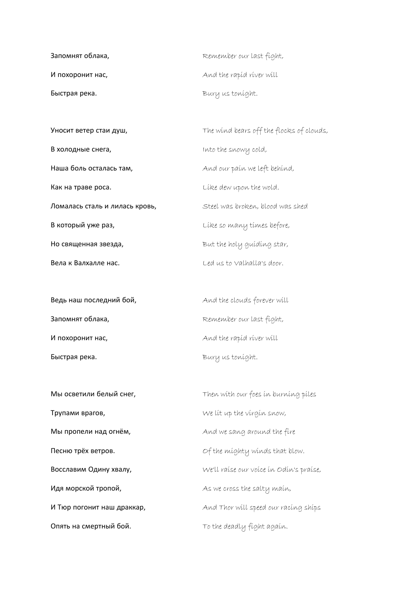| Запомнят облака, | Remember our last fight, |
|------------------|--------------------------|
| И похоронит нас, | And the rapid river will |
| Быстрая река.    | Bury us tonight.         |

**В холодные снега, Into the snowy cold,** Наша боль осталась там, **And our pain we left behind**, Kaк на траве роса. **Like dew upon the wold.** Ломалась сталь и лилась кровь, Steel was broken, blood was shed **В который уже раз, видео по не соверо в не по не по не в себя в который уже раз,** Но священная звезда, **But the holy guiding star,** 

Запомнят облака, and the member our last fight, И похоронит нас, **Manual And the rapid river will** Быстрая река. **Bury us tonight.** 

**Трупами врагов,** Me lit up the virgin snow, Идя морской тропой, **Manual State State Setters** As we cross the salty main,

**Уносит ветер стаи душ,** The wind bears off the flocks of clouds, **Вела к Валхалле нас.** Channels Ced us to Valhalla's door.

Ведь наш последний бой, **And the clouds forever will** 

Мы осветили белый снег, Then with our foes in burning piles Мы пропели над огнём, **All and we sang around the fire** Песню трёх ветров. **Of the mighty winds that blow**. BOCCЛАВИМ ОДИНУ ХВАЛУ, Manuell We'll raise our voice in Odin's praise, **И Тюр погонит наш драккар,** And Thor will speed our racing ships **Опять на смертный бой.** To the deadly fight again.